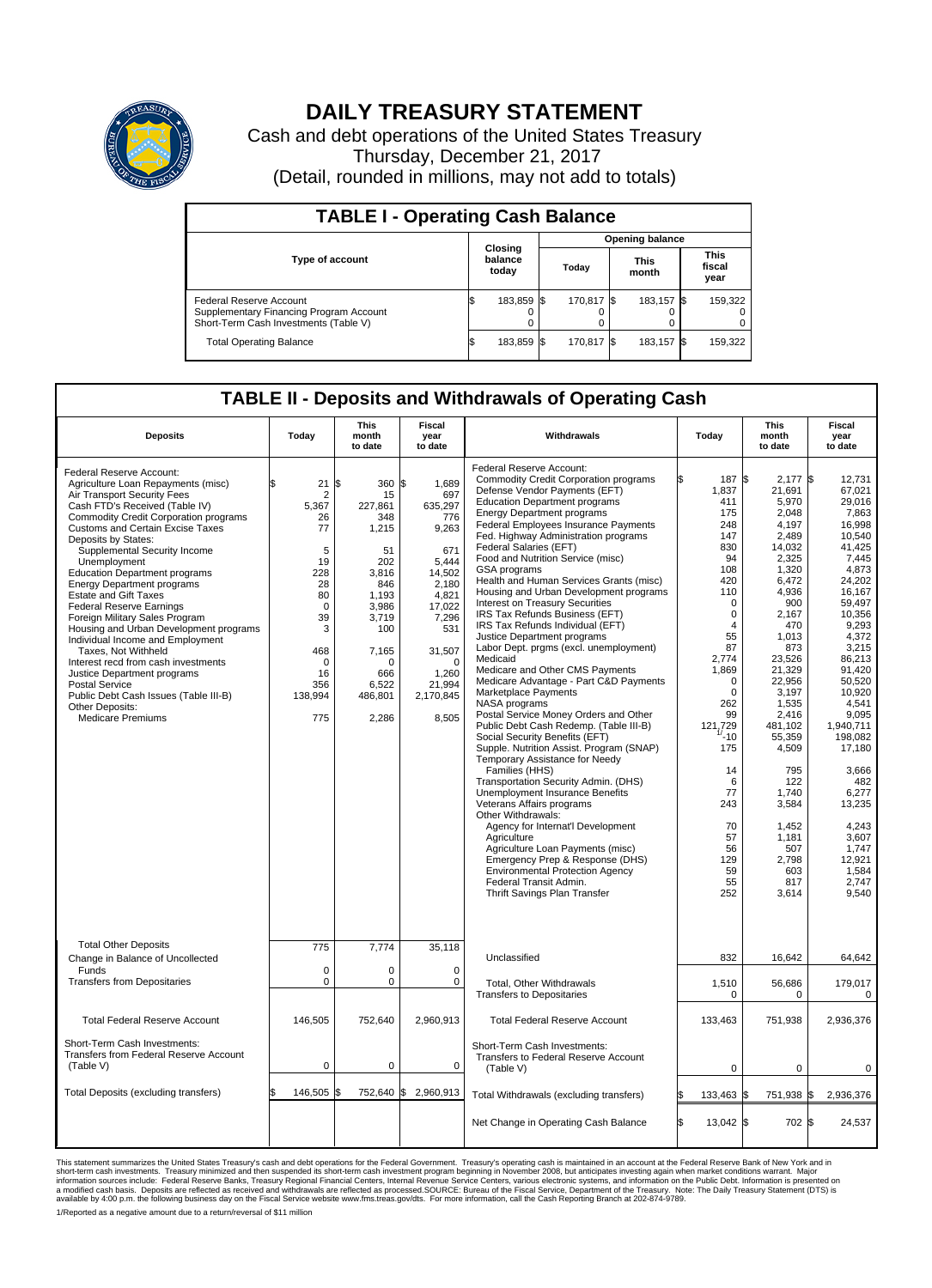

## **DAILY TREASURY STATEMENT**

Cash and debt operations of the United States Treasury Thursday, December 21, 2017 (Detail, rounded in millions, may not add to totals)

| <b>TABLE I - Operating Cash Balance</b>                                                                     |     |                             |                        |             |  |                      |  |                               |  |
|-------------------------------------------------------------------------------------------------------------|-----|-----------------------------|------------------------|-------------|--|----------------------|--|-------------------------------|--|
|                                                                                                             |     |                             | <b>Opening balance</b> |             |  |                      |  |                               |  |
| <b>Type of account</b>                                                                                      |     | Closing<br>balance<br>today |                        | Today       |  | <b>This</b><br>month |  | <b>This</b><br>fiscal<br>year |  |
| Federal Reserve Account<br>Supplementary Financing Program Account<br>Short-Term Cash Investments (Table V) |     | 183,859                     |                        | 170.817 \\$ |  | 183,157 \$           |  | 159,322                       |  |
| <b>Total Operating Balance</b>                                                                              | I\$ | 183,859 \$                  |                        | 170,817 \$  |  | 183,157 \$           |  | 159,322                       |  |

## **TABLE II - Deposits and Withdrawals of Operating Cash**

| <b>Deposits</b>                                                                                                                                                                                                                                                                                                                                                                                                                                                                                                                                                                                                                                                                                                                                                                 | Today                                                                                                                                           | <b>This</b><br>month<br>to date                                                                                                                              | Fiscal<br>Withdrawals<br>year<br>to date                                                                                                                                              |                                                                                                                                                                                                                                                                                                                                                                                                                                                                                                                                                                                                                                                                                                                                                                                                                                                                                                                                                                                                                                                                                                                                                                                                                                                                                                                                                  | Today                                                                                                                                                                                                                                                                                           | <b>This</b><br>month<br>to date                                                                                                                                                                                                                                                                                             | <b>Fiscal</b><br>year<br>to date                                                                                                                                                                                                                                                                                                                      |
|---------------------------------------------------------------------------------------------------------------------------------------------------------------------------------------------------------------------------------------------------------------------------------------------------------------------------------------------------------------------------------------------------------------------------------------------------------------------------------------------------------------------------------------------------------------------------------------------------------------------------------------------------------------------------------------------------------------------------------------------------------------------------------|-------------------------------------------------------------------------------------------------------------------------------------------------|--------------------------------------------------------------------------------------------------------------------------------------------------------------|---------------------------------------------------------------------------------------------------------------------------------------------------------------------------------------|--------------------------------------------------------------------------------------------------------------------------------------------------------------------------------------------------------------------------------------------------------------------------------------------------------------------------------------------------------------------------------------------------------------------------------------------------------------------------------------------------------------------------------------------------------------------------------------------------------------------------------------------------------------------------------------------------------------------------------------------------------------------------------------------------------------------------------------------------------------------------------------------------------------------------------------------------------------------------------------------------------------------------------------------------------------------------------------------------------------------------------------------------------------------------------------------------------------------------------------------------------------------------------------------------------------------------------------------------|-------------------------------------------------------------------------------------------------------------------------------------------------------------------------------------------------------------------------------------------------------------------------------------------------|-----------------------------------------------------------------------------------------------------------------------------------------------------------------------------------------------------------------------------------------------------------------------------------------------------------------------------|-------------------------------------------------------------------------------------------------------------------------------------------------------------------------------------------------------------------------------------------------------------------------------------------------------------------------------------------------------|
| Federal Reserve Account:<br>Agriculture Loan Repayments (misc)<br>Air Transport Security Fees<br>Cash FTD's Received (Table IV)<br><b>Commodity Credit Corporation programs</b><br><b>Customs and Certain Excise Taxes</b><br>Deposits by States:<br>Supplemental Security Income<br>Unemployment<br><b>Education Department programs</b><br><b>Energy Department programs</b><br><b>Estate and Gift Taxes</b><br><b>Federal Reserve Earnings</b><br>Foreign Military Sales Program<br>Housing and Urban Development programs<br>Individual Income and Employment<br>Taxes. Not Withheld<br>Interest recd from cash investments<br>Justice Department programs<br><b>Postal Service</b><br>Public Debt Cash Issues (Table III-B)<br>Other Deposits:<br><b>Medicare Premiums</b> | \$<br>21<br>2<br>5,367<br>26<br>77<br>5<br>19<br>228<br>28<br>80<br>$\mathbf 0$<br>39<br>3<br>468<br>$\mathbf 0$<br>16<br>356<br>138,994<br>775 | l\$<br>360<br>15<br>227,861<br>348<br>1,215<br>51<br>202<br>3,816<br>846<br>1,193<br>3,986<br>3,719<br>100<br>7,165<br>n<br>666<br>6,522<br>486,801<br>2,286 | S.<br>1,689<br>697<br>635,297<br>776<br>9,263<br>671<br>5,444<br>14,502<br>2.180<br>4,821<br>17,022<br>7,296<br>531<br>31,507<br>$\mathbf 0$<br>1,260<br>21,994<br>2,170,845<br>8,505 | Federal Reserve Account:<br><b>Commodity Credit Corporation programs</b><br>Defense Vendor Payments (EFT)<br><b>Education Department programs</b><br><b>Energy Department programs</b><br>Federal Employees Insurance Payments<br>Fed. Highway Administration programs<br>Federal Salaries (EFT)<br>Food and Nutrition Service (misc)<br>GSA programs<br>Health and Human Services Grants (misc)<br>Housing and Urban Development programs<br>Interest on Treasury Securities<br>IRS Tax Refunds Business (EFT)<br>IRS Tax Refunds Individual (EFT)<br>Justice Department programs<br>Labor Dept. prgms (excl. unemployment)<br>Medicaid<br>Medicare and Other CMS Payments<br>Medicare Advantage - Part C&D Payments<br>Marketplace Payments<br>NASA programs<br>Postal Service Money Orders and Other<br>Public Debt Cash Redemp. (Table III-B)<br>Social Security Benefits (EFT)<br>Supple. Nutrition Assist. Program (SNAP)<br>Temporary Assistance for Needy<br>Families (HHS)<br>Transportation Security Admin. (DHS)<br>Unemployment Insurance Benefits<br>Veterans Affairs programs<br>Other Withdrawals:<br>Agency for Internat'l Development<br>Agriculture<br>Agriculture Loan Payments (misc)<br>Emergency Prep & Response (DHS)<br><b>Environmental Protection Agency</b><br>Federal Transit Admin.<br>Thrift Savings Plan Transfer | 187 \$<br>1,837<br>411<br>175<br>248<br>147<br>830<br>94<br>108<br>420<br>110<br>$\mathbf 0$<br>$\Omega$<br>$\overline{4}$<br>55<br>87<br>2,774<br>1,869<br>$\Omega$<br>$\mathbf 0$<br>262<br>99<br>121,729<br>$-10$<br>175<br>14<br>6<br>77<br>243<br>70<br>57<br>56<br>129<br>59<br>55<br>252 | 2,177 \$<br>21,691<br>5,970<br>2.048<br>4,197<br>2,489<br>14,032<br>2,325<br>1,320<br>6,472<br>4,936<br>900<br>2.167<br>470<br>1,013<br>873<br>23,526<br>21,329<br>22,956<br>3,197<br>1,535<br>2.416<br>481,102<br>55,359<br>4,509<br>795<br>122<br>1,740<br>3,584<br>1,452<br>1,181<br>507<br>2,798<br>603<br>817<br>3,614 | 12,731<br>67,021<br>29,016<br>7.863<br>16,998<br>10.540<br>41,425<br>7.445<br>4,873<br>24,202<br>16.167<br>59,497<br>10.356<br>9,293<br>4,372<br>3,215<br>86,213<br>91.420<br>50,520<br>10,920<br>4.541<br>9.095<br>1,940,711<br>198,082<br>17,180<br>3.666<br>482<br>6,277<br>13,235<br>4,243<br>3,607<br>1.747<br>12,921<br>1.584<br>2,747<br>9,540 |
| <b>Total Other Deposits</b><br>Change in Balance of Uncollected                                                                                                                                                                                                                                                                                                                                                                                                                                                                                                                                                                                                                                                                                                                 | 775                                                                                                                                             | 7,774                                                                                                                                                        | 35,118                                                                                                                                                                                | Unclassified                                                                                                                                                                                                                                                                                                                                                                                                                                                                                                                                                                                                                                                                                                                                                                                                                                                                                                                                                                                                                                                                                                                                                                                                                                                                                                                                     | 832                                                                                                                                                                                                                                                                                             | 16,642                                                                                                                                                                                                                                                                                                                      | 64,642                                                                                                                                                                                                                                                                                                                                                |
| Funds<br><b>Transfers from Depositaries</b>                                                                                                                                                                                                                                                                                                                                                                                                                                                                                                                                                                                                                                                                                                                                     | $\mathbf 0$<br>$\mathbf 0$                                                                                                                      | $\Omega$<br>0                                                                                                                                                | $\mathbf 0$<br>$\mathbf 0$                                                                                                                                                            | Total, Other Withdrawals<br><b>Transfers to Depositaries</b>                                                                                                                                                                                                                                                                                                                                                                                                                                                                                                                                                                                                                                                                                                                                                                                                                                                                                                                                                                                                                                                                                                                                                                                                                                                                                     | 1,510<br>$\mathbf 0$                                                                                                                                                                                                                                                                            | 56,686<br>0                                                                                                                                                                                                                                                                                                                 | 179,017<br>0                                                                                                                                                                                                                                                                                                                                          |
| <b>Total Federal Reserve Account</b>                                                                                                                                                                                                                                                                                                                                                                                                                                                                                                                                                                                                                                                                                                                                            | 146,505                                                                                                                                         | 752,640                                                                                                                                                      | 2,960,913                                                                                                                                                                             | <b>Total Federal Reserve Account</b>                                                                                                                                                                                                                                                                                                                                                                                                                                                                                                                                                                                                                                                                                                                                                                                                                                                                                                                                                                                                                                                                                                                                                                                                                                                                                                             | 133,463                                                                                                                                                                                                                                                                                         | 751,938                                                                                                                                                                                                                                                                                                                     | 2,936,376                                                                                                                                                                                                                                                                                                                                             |
| Short-Term Cash Investments:<br><b>Transfers from Federal Reserve Account</b><br>(Table V)                                                                                                                                                                                                                                                                                                                                                                                                                                                                                                                                                                                                                                                                                      | $\pmb{0}$                                                                                                                                       | 0                                                                                                                                                            | 0                                                                                                                                                                                     | Short-Term Cash Investments:<br>Transfers to Federal Reserve Account<br>(Table V)                                                                                                                                                                                                                                                                                                                                                                                                                                                                                                                                                                                                                                                                                                                                                                                                                                                                                                                                                                                                                                                                                                                                                                                                                                                                | $\mathbf 0$                                                                                                                                                                                                                                                                                     | 0                                                                                                                                                                                                                                                                                                                           | 0                                                                                                                                                                                                                                                                                                                                                     |
| Total Deposits (excluding transfers)                                                                                                                                                                                                                                                                                                                                                                                                                                                                                                                                                                                                                                                                                                                                            | 146,505                                                                                                                                         | 1\$                                                                                                                                                          | 752,640 \$ 2,960,913                                                                                                                                                                  | Total Withdrawals (excluding transfers)                                                                                                                                                                                                                                                                                                                                                                                                                                                                                                                                                                                                                                                                                                                                                                                                                                                                                                                                                                                                                                                                                                                                                                                                                                                                                                          | 133,463 \$                                                                                                                                                                                                                                                                                      | 751,938 \$                                                                                                                                                                                                                                                                                                                  | 2,936,376                                                                                                                                                                                                                                                                                                                                             |
|                                                                                                                                                                                                                                                                                                                                                                                                                                                                                                                                                                                                                                                                                                                                                                                 |                                                                                                                                                 |                                                                                                                                                              |                                                                                                                                                                                       | Net Change in Operating Cash Balance                                                                                                                                                                                                                                                                                                                                                                                                                                                                                                                                                                                                                                                                                                                                                                                                                                                                                                                                                                                                                                                                                                                                                                                                                                                                                                             | S.<br>13,042 \$                                                                                                                                                                                                                                                                                 | 702 \$                                                                                                                                                                                                                                                                                                                      | 24,537                                                                                                                                                                                                                                                                                                                                                |

This statement summarizes the United States Treasury's cash and debt operations for the Federal Government. Treasury soperating in November 2008, but anticiarded in a cocount at the Federal Reserve Bank of New York and in<br>

1/Reported as a negative amount due to a return/reversal of \$11 million